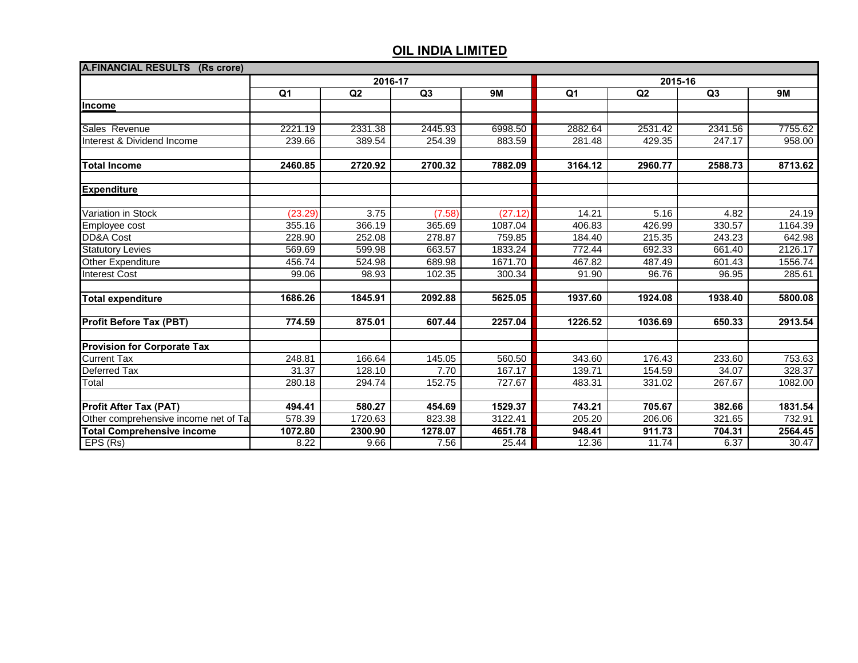| A.FINANCIAL RESULTS (Rs crore)       |                  |         |         |           |         |         |         |           |  |  |
|--------------------------------------|------------------|---------|---------|-----------|---------|---------|---------|-----------|--|--|
|                                      | 2016-17          |         |         |           | 2015-16 |         |         |           |  |  |
|                                      | $\overline{Q}$ 1 | Q2      | Q3      | <b>9M</b> | Q1      | Q2      | Q3      | <b>9M</b> |  |  |
| <b>Income</b>                        |                  |         |         |           |         |         |         |           |  |  |
|                                      |                  |         |         |           |         |         |         |           |  |  |
| Sales Revenue                        | 2221.19          | 2331.38 | 2445.93 | 6998.50   | 2882.64 | 2531.42 | 2341.56 | 7755.62   |  |  |
| Interest & Dividend Income           | 239.66           | 389.54  | 254.39  | 883.59    | 281.48  | 429.35  | 247.17  | 958.00    |  |  |
|                                      |                  |         |         |           |         |         |         |           |  |  |
| <b>Total Income</b>                  | 2460.85          | 2720.92 | 2700.32 | 7882.09   | 3164.12 | 2960.77 | 2588.73 | 8713.62   |  |  |
| <b>Expenditure</b>                   |                  |         |         |           |         |         |         |           |  |  |
|                                      |                  |         |         |           |         |         |         |           |  |  |
| Variation in Stock                   | (23.29)          | 3.75    | (7.58)  | (27.12)   | 14.21   | 5.16    | 4.82    | 24.19     |  |  |
| Employee cost                        | 355.16           | 366.19  | 365.69  | 1087.04   | 406.83  | 426.99  | 330.57  | 1164.39   |  |  |
| DD&A Cost                            | 228.90           | 252.08  | 278.87  | 759.85    | 184.40  | 215.35  | 243.23  | 642.98    |  |  |
| <b>Statutory Levies</b>              | 569.69           | 599.98  | 663.57  | 1833.24   | 772.44  | 692.33  | 661.40  | 2126.17   |  |  |
| Other Expenditure                    | 456.74           | 524.98  | 689.98  | 1671.70   | 467.82  | 487.49  | 601.43  | 1556.74   |  |  |
| <b>Interest Cost</b>                 | 99.06            | 98.93   | 102.35  | 300.34    | 91.90   | 96.76   | 96.95   | 285.61    |  |  |
| <b>Total expenditure</b>             | 1686.26          | 1845.91 | 2092.88 | 5625.05   | 1937.60 | 1924.08 | 1938.40 | 5800.08   |  |  |
| <b>Profit Before Tax (PBT)</b>       | 774.59           | 875.01  | 607.44  | 2257.04   | 1226.52 | 1036.69 | 650.33  | 2913.54   |  |  |
| <b>Provision for Corporate Tax</b>   |                  |         |         |           |         |         |         |           |  |  |
| <b>Current Tax</b>                   | 248.81           | 166.64  | 145.05  | 560.50    | 343.60  | 176.43  | 233.60  | 753.63    |  |  |
| <b>Deferred Tax</b>                  | 31.37            | 128.10  | 7.70    | 167.17    | 139.71  | 154.59  | 34.07   | 328.37    |  |  |
| Total                                | 280.18           | 294.74  | 152.75  | 727.67    | 483.31  | 331.02  | 267.67  | 1082.00   |  |  |
|                                      |                  |         |         |           |         |         |         |           |  |  |
| <b>Profit After Tax (PAT)</b>        | 494.41           | 580.27  | 454.69  | 1529.37   | 743.21  | 705.67  | 382.66  | 1831.54   |  |  |
| Other comprehensive income net of Ta | 578.39           | 1720.63 | 823.38  | 3122.41   | 205.20  | 206.06  | 321.65  | 732.91    |  |  |
| <b>Total Comprehensive income</b>    | 1072.80          | 2300.90 | 1278.07 | 4651.78   | 948.41  | 911.73  | 704.31  | 2564.45   |  |  |
| EPS (Rs)                             | 8.22             | 9.66    | 7.56    | 25.44     | 12.36   | 11.74   | 6.37    | 30.47     |  |  |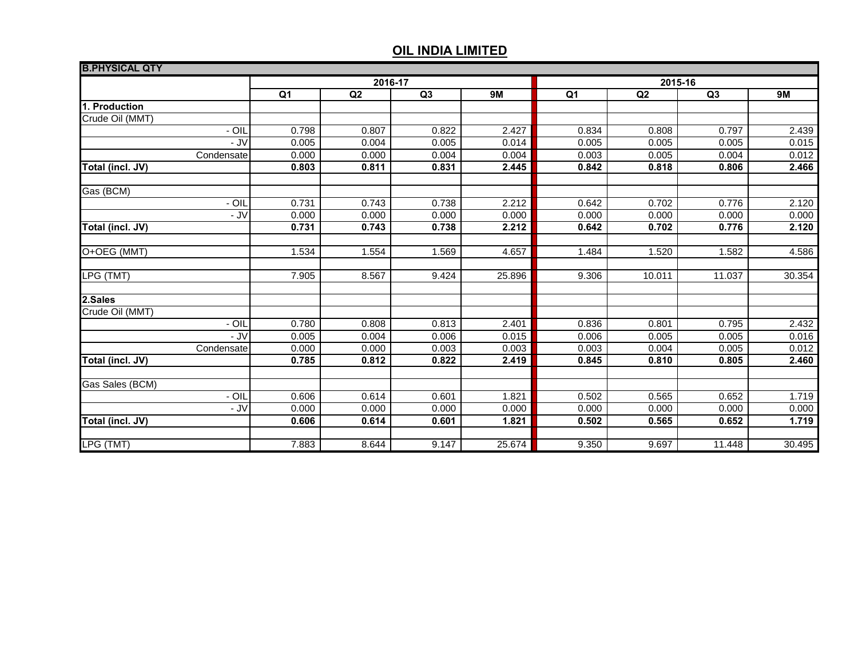| <b>B.PHYSICAL QTY</b> |         |       |       |        |         |        |        |        |
|-----------------------|---------|-------|-------|--------|---------|--------|--------|--------|
|                       | 2016-17 |       |       |        | 2015-16 |        |        |        |
|                       | Q1      | Q2    | Q3    | 9M     | Q1      | Q2     | Q3     | 9M     |
| 1. Production         |         |       |       |        |         |        |        |        |
| Crude Oil (MMT)       |         |       |       |        |         |        |        |        |
| - OIL                 | 0.798   | 0.807 | 0.822 | 2.427  | 0.834   | 0.808  | 0.797  | 2.439  |
| - JV                  | 0.005   | 0.004 | 0.005 | 0.014  | 0.005   | 0.005  | 0.005  | 0.015  |
| Condensate            | 0.000   | 0.000 | 0.004 | 0.004  | 0.003   | 0.005  | 0.004  | 0.012  |
| Total (incl. JV)      | 0.803   | 0.811 | 0.831 | 2.445  | 0.842   | 0.818  | 0.806  | 2.466  |
| Gas (BCM)             |         |       |       |        |         |        |        |        |
| - OIL                 | 0.731   | 0.743 | 0.738 | 2.212  | 0.642   | 0.702  | 0.776  | 2.120  |
| - JV                  | 0.000   | 0.000 | 0.000 | 0.000  | 0.000   | 0.000  | 0.000  | 0.000  |
| Total (incl. JV)      | 0.731   | 0.743 | 0.738 | 2.212  | 0.642   | 0.702  | 0.776  | 2.120  |
|                       |         |       |       |        |         |        |        |        |
| O+OEG (MMT)           | 1.534   | 1.554 | 1.569 | 4.657  | 1.484   | 1.520  | 1.582  | 4.586  |
| LPG (TMT)             | 7.905   | 8.567 | 9.424 | 25.896 | 9.306   | 10.011 | 11.037 | 30.354 |
| 2.Sales               |         |       |       |        |         |        |        |        |
| Crude Oil (MMT)       |         |       |       |        |         |        |        |        |
| - OIL                 | 0.780   | 0.808 | 0.813 | 2.401  | 0.836   | 0.801  | 0.795  | 2.432  |
| - JV                  | 0.005   | 0.004 | 0.006 | 0.015  | 0.006   | 0.005  | 0.005  | 0.016  |
| Condensate            | 0.000   | 0.000 | 0.003 | 0.003  | 0.003   | 0.004  | 0.005  | 0.012  |
| Total (incl. JV)      | 0.785   | 0.812 | 0.822 | 2.419  | 0.845   | 0.810  | 0.805  | 2.460  |
| Gas Sales (BCM)       |         |       |       |        |         |        |        |        |
| - OIL                 | 0.606   | 0.614 | 0.601 | 1.821  | 0.502   | 0.565  | 0.652  | 1.719  |
| - JV                  | 0.000   | 0.000 | 0.000 | 0.000  | 0.000   | 0.000  | 0.000  | 0.000  |
| Total (incl. JV)      | 0.606   | 0.614 | 0.601 | 1.821  | 0.502   | 0.565  | 0.652  | 1.719  |
|                       |         |       |       |        |         |        |        |        |
| LPG (TMT)             | 7.883   | 8.644 | 9.147 | 25.674 | 9.350   | 9.697  | 11.448 | 30.495 |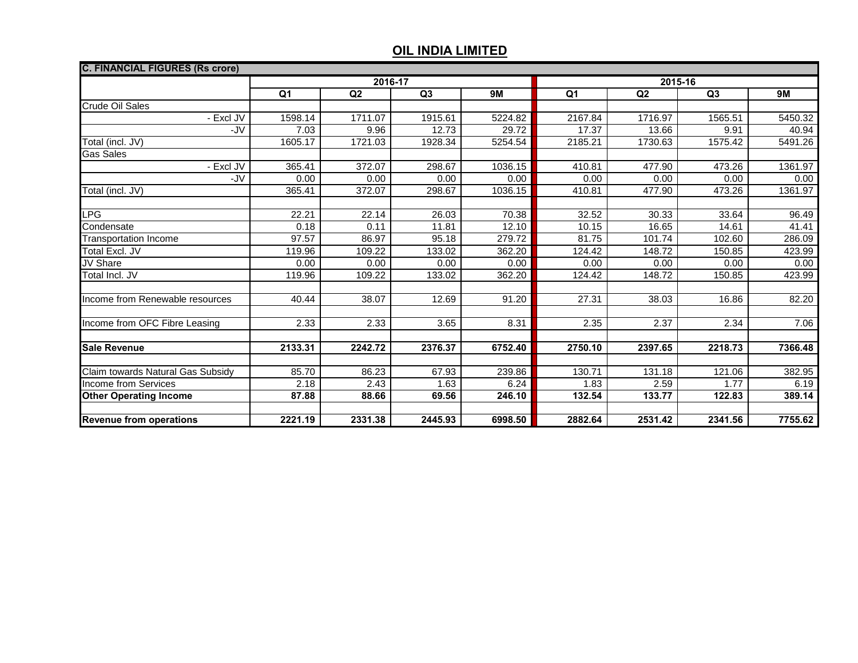| <b>C. FINANCIAL FIGURES (Rs crore)</b> |                |                |         |           |         |                |         |           |  |  |
|----------------------------------------|----------------|----------------|---------|-----------|---------|----------------|---------|-----------|--|--|
|                                        | 2016-17        |                |         |           | 2015-16 |                |         |           |  |  |
|                                        | Q <sub>1</sub> | Q <sub>2</sub> | Q3      | <b>9M</b> | Q1      | Q <sub>2</sub> | Q3      | <b>9M</b> |  |  |
| <b>Crude Oil Sales</b>                 |                |                |         |           |         |                |         |           |  |  |
| - Excl JV                              | 1598.14        | 1711.07        | 1915.61 | 5224.82   | 2167.84 | 1716.97        | 1565.51 | 5450.32   |  |  |
| -JV                                    | 7.03           | 9.96           | 12.73   | 29.72     | 17.37   | 13.66          | 9.91    | 40.94     |  |  |
| Total (incl. JV)                       | 1605.17        | 1721.03        | 1928.34 | 5254.54   | 2185.21 | 1730.63        | 1575.42 | 5491.26   |  |  |
| <b>Gas Sales</b>                       |                |                |         |           |         |                |         |           |  |  |
| - Excl JV                              | 365.41         | 372.07         | 298.67  | 1036.15   | 410.81  | 477.90         | 473.26  | 1361.97   |  |  |
| -JV                                    | 0.00           | 0.00           | 0.00    | 0.00      | 0.00    | 0.00           | 0.00    | 0.00      |  |  |
| Total (incl. JV)                       | 365.41         | 372.07         | 298.67  | 1036.15   | 410.81  | 477.90         | 473.26  | 1361.97   |  |  |
|                                        |                |                |         |           |         |                |         |           |  |  |
| <b>LPG</b>                             | 22.21          | 22.14          | 26.03   | 70.38     | 32.52   | 30.33          | 33.64   | 96.49     |  |  |
| Condensate                             | 0.18           | 0.11           | 11.81   | 12.10     | 10.15   | 16.65          | 14.61   | 41.41     |  |  |
| <b>Transportation Income</b>           | 97.57          | 86.97          | 95.18   | 279.72    | 81.75   | 101.74         | 102.60  | 286.09    |  |  |
| <b>Total Excl. JV</b>                  | 119.96         | 109.22         | 133.02  | 362.20    | 124.42  | 148.72         | 150.85  | 423.99    |  |  |
| <b>JV Share</b>                        | 0.00           | 0.00           | 0.00    | 0.00      | 0.00    | 0.00           | 0.00    | 0.00      |  |  |
| Total Incl. JV                         | 119.96         | 109.22         | 133.02  | 362.20    | 124.42  | 148.72         | 150.85  | 423.99    |  |  |
|                                        |                |                |         |           |         |                |         |           |  |  |
| Income from Renewable resources        | 40.44          | 38.07          | 12.69   | 91.20     | 27.31   | 38.03          | 16.86   | 82.20     |  |  |
|                                        |                |                |         |           |         |                |         |           |  |  |
| Income from OFC Fibre Leasing          | 2.33           | 2.33           | 3.65    | 8.31      | 2.35    | 2.37           | 2.34    | 7.06      |  |  |
|                                        |                |                |         |           |         |                |         |           |  |  |
| <b>Sale Revenue</b>                    | 2133.31        | 2242.72        | 2376.37 | 6752.40   | 2750.10 | 2397.65        | 2218.73 | 7366.48   |  |  |
|                                        |                |                |         |           |         |                |         |           |  |  |
| Claim towards Natural Gas Subsidy      | 85.70          | 86.23          | 67.93   | 239.86    | 130.71  | 131.18         | 121.06  | 382.95    |  |  |
| <b>Income from Services</b>            | 2.18           | 2.43           | 1.63    | 6.24      | 1.83    | 2.59           | 1.77    | 6.19      |  |  |
| <b>Other Operating Income</b>          | 87.88          | 88.66          | 69.56   | 246.10    | 132.54  | 133.77         | 122.83  | 389.14    |  |  |
|                                        |                |                |         |           |         |                |         |           |  |  |
| <b>Revenue from operations</b>         | 2221.19        | 2331.38        | 2445.93 | 6998.50   | 2882.64 | 2531.42        | 2341.56 | 7755.62   |  |  |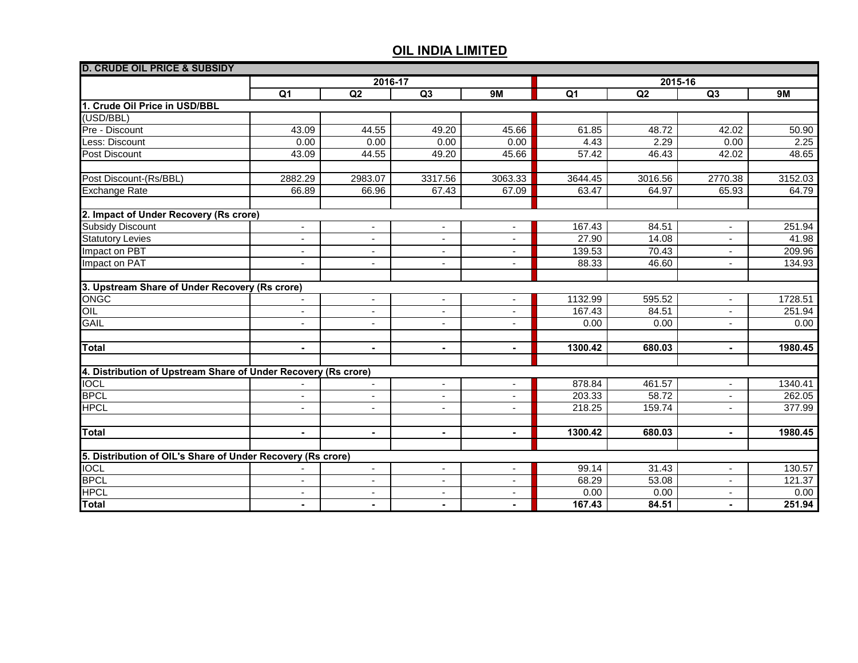| <b>D. CRUDE OIL PRICE &amp; SUBSIDY</b>                        |                          |                          |                          |                          |                |         |                          |         |
|----------------------------------------------------------------|--------------------------|--------------------------|--------------------------|--------------------------|----------------|---------|--------------------------|---------|
|                                                                | 2016-17                  |                          |                          |                          | 2015-16        |         |                          |         |
|                                                                | $\overline{Q1}$          | Q2                       | Q3                       | 9M                       | Q <sub>1</sub> | Q2      | Q3                       | 9M      |
| 1. Crude Oil Price in USD/BBL                                  |                          |                          |                          |                          |                |         |                          |         |
| (USD/BBL)                                                      |                          |                          |                          |                          |                |         |                          |         |
| Pre - Discount                                                 | 43.09                    | 44.55                    | 49.20                    | 45.66                    | 61.85          | 48.72   | 42.02                    | 50.90   |
| ess: Discount                                                  | 0.00                     | 0.00                     | 0.00                     | 0.00                     | 4.43           | 2.29    | 0.00                     | 2.25    |
| <b>Post Discount</b>                                           | 43.09                    | 44.55                    | 49.20                    | 45.66                    | 57.42          | 46.43   | 42.02                    | 48.65   |
|                                                                |                          |                          |                          |                          |                |         |                          |         |
| Post Discount-(Rs/BBL)                                         | 2882.29                  | 2983.07                  | 3317.56                  | 3063.33                  | 3644.45        | 3016.56 | 2770.38                  | 3152.03 |
| <b>Exchange Rate</b>                                           | 66.89                    | 66.96                    | 67.43                    | 67.09                    | 63.47          | 64.97   | 65.93                    | 64.79   |
|                                                                |                          |                          |                          |                          |                |         |                          |         |
| 2. Impact of Under Recovery (Rs crore)                         |                          |                          |                          |                          |                |         |                          |         |
| <b>Subsidy Discount</b>                                        | $\blacksquare$           |                          |                          |                          | 167.43         | 84.51   |                          | 251.94  |
| <b>Statutory Levies</b>                                        | $\overline{\phantom{a}}$ | $\overline{\phantom{a}}$ | $\blacksquare$           | $\blacksquare$           | 27.90          | 14.08   | $\blacksquare$           | 41.98   |
| Impact on PBT                                                  |                          | $\blacksquare$           | $\blacksquare$           | $\blacksquare$           | 139.53         | 70.43   | $\overline{\phantom{a}}$ | 209.96  |
| Impact on PAT                                                  | $\overline{\phantom{a}}$ | $\overline{\phantom{a}}$ | $\overline{\phantom{a}}$ | $\overline{\phantom{a}}$ | 88.33          | 46.60   | $\blacksquare$           | 134.93  |
|                                                                |                          |                          |                          |                          |                |         |                          |         |
| 3. Upstream Share of Under Recovery (Rs crore)                 |                          |                          |                          |                          |                |         |                          |         |
| <b>ONGC</b>                                                    | $\overline{\phantom{a}}$ | $\overline{\phantom{a}}$ | $\overline{\phantom{a}}$ | $\overline{\phantom{a}}$ | 1132.99        | 595.52  | $\overline{\phantom{a}}$ | 1728.51 |
| $\overline{OIL}$                                               | $\overline{\phantom{a}}$ | $\overline{\phantom{a}}$ | $\blacksquare$           | $\blacksquare$           | 167.43         | 84.51   | $\overline{\phantom{a}}$ | 251.94  |
| <b>GAIL</b>                                                    | $\overline{\phantom{a}}$ | $\overline{\phantom{a}}$ | $\overline{\phantom{a}}$ | $\overline{\phantom{a}}$ | 0.00           | 0.00    | $\overline{\phantom{a}}$ | 0.00    |
|                                                                |                          |                          |                          |                          |                |         |                          |         |
| <b>Total</b>                                                   | $\blacksquare$           | $\sim$                   | $\sim$                   | $\sim$                   | 1300.42        | 680.03  | $\blacksquare$           | 1980.45 |
|                                                                |                          |                          |                          |                          |                |         |                          |         |
| 4. Distribution of Upstream Share of Under Recovery (Rs crore) |                          |                          |                          |                          |                |         |                          |         |
| <b>IOCL</b>                                                    |                          | $\blacksquare$           | $\overline{\phantom{a}}$ | $\blacksquare$           | 878.84         | 461.57  | $\blacksquare$           | 1340.41 |
| <b>BPCL</b>                                                    | $\blacksquare$           | $\sim$                   | $\blacksquare$           | $\blacksquare$           | 203.33         | 58.72   | $\blacksquare$           | 262.05  |
| <b>HPCL</b>                                                    | $\blacksquare$           | $\blacksquare$           | $\blacksquare$           | $\blacksquare$           | 218.25         | 159.74  | ٠                        | 377.99  |
|                                                                |                          |                          |                          |                          |                |         |                          |         |
| <b>Total</b>                                                   | $\blacksquare$           | $\blacksquare$           | $\blacksquare$           | $\blacksquare$           | 1300.42        | 680.03  | $\blacksquare$           | 1980.45 |
| 5. Distribution of OIL's Share of Under Recovery (Rs crore)    |                          |                          |                          |                          |                |         |                          |         |
| <b>IOCL</b>                                                    |                          | $\blacksquare$           | $\blacksquare$           | $\blacksquare$           | 99.14          | 31.43   | $\blacksquare$           | 130.57  |
| <b>BPCL</b>                                                    | $\blacksquare$           | $\blacksquare$           | $\blacksquare$           | $\sim$                   | 68.29          | 53.08   | $\sim$                   | 121.37  |
| <b>HPCL</b>                                                    | $\blacksquare$           | $\blacksquare$           | $\sim$                   | $\sim$                   | 0.00           | 0.00    | $\overline{a}$           | 0.00    |
| Total                                                          | $\blacksquare$           | $\blacksquare$           | $\blacksquare$           | $\blacksquare$           | 167.43         | 84.51   | $\blacksquare$           | 251.94  |